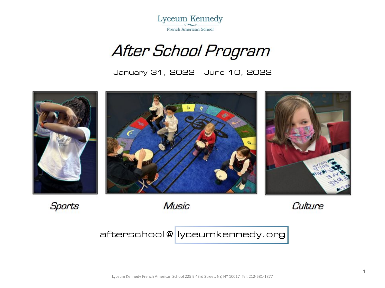

# After School Program

January 31, 2022 - June 10, 2022



Sports

**Music** 

Culture

# afterschool@|lyceumkennedy.org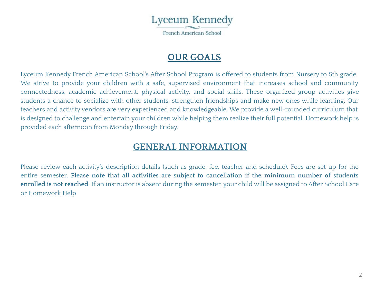

#### **OUR GOALS**

Lyceum Kennedy French American School's After School Program is offered to students from Nursery to 5th grade. We strive to provide your children with a safe, supervised environment that increases school and community connectedness, academic achievement, physical activity, and social skills. These organized group activities give students a chance to socialize with other students, strengthen friendships and make new ones while learning. Our teachers and activity vendors are very experienced and knowledgeable. We provide a well-rounded curriculum that is designed to challenge and entertain your children while helping them realize their full potential. Homework help is provided each afternoon from Monday through Friday.

#### **GENERAL INFORMATION**

Please review each activity's description details (such as grade, fee, teacher and schedule). Fees are set up for the entire semester. **Please note that all activities are subject to cancellation if the minimum number of students enrolled is not reached**. If an instructor is absent during the semester, your child will be assigned to After School Care or Homework Help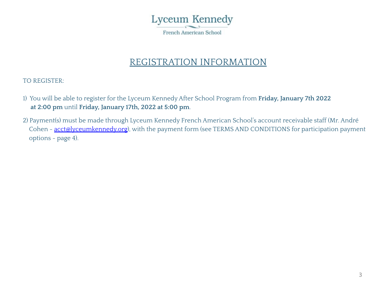

### REGISTRATION INFORMATION

TO REGISTER:

- 1) You will be able to register for the Lyceum Kennedy After School Program from **Friday, January 7th 2022 at 2:00 pm** until **Friday, January 17th, 2022 at 5:00 pm**.
- 2) Payment(s) must be made through Lyceum Kennedy French American School's account receivable staff (Mr. André Cohen - [acct@lyceumkennedy.org](mailto:acct@lyceumkennedy.org)), with the payment form (see TERMS AND CONDITIONS for participation payment options - page 4).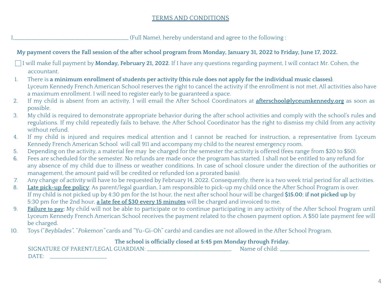#### TERMS AND CONDITIONS

I,\_\_\_\_\_\_\_\_\_\_\_\_\_\_\_\_\_\_\_\_\_\_\_\_\_\_\_\_\_\_\_\_\_\_\_\_\_\_\_\_\_\_ (Full Name), hereby understand and agree to the following :

|     | My payment covers the Fall session of the after school program from Monday, January 31, 2022 to Friday, June 17, 2022.                                                                                                                                                                                                                                                   |
|-----|--------------------------------------------------------------------------------------------------------------------------------------------------------------------------------------------------------------------------------------------------------------------------------------------------------------------------------------------------------------------------|
|     | I will make full payment by Monday, February 21, 2022. If I have any questions regarding payment, I will contact Mr. Cohen, the<br>accountant.                                                                                                                                                                                                                           |
| 1.  | There is a minimum enrollment of students per activity (this rule does not apply for the individual music classes).<br>Lyceum Kennedy French American School reserves the right to cancel the activity if the enrollment is not met. All activities also have<br>a maximum enrollment. I will need to register early to be guaranteed a space.                           |
| 2.  | If my child is absent from an activity, I will email the After School Coordinators at <i>afterschool@lyceumkennedy.org</i> as soon as<br>possible.                                                                                                                                                                                                                       |
| 3.  | My child is required to demonstrate appropriate behavior during the after school activities and comply with the school's rules and<br>regulations. If my child repeatedly fails to behave, the After School Coordinator has the right to dismiss my child from any activity<br>without refund.                                                                           |
| 4.  | If my child is injured and requires medical attention and I cannot be reached for instruction, a representative from Lyceum<br>Kennedy French American School will call 911 and accompany my child to the nearest emergency room.                                                                                                                                        |
| 5.  | Depending on the activity, a material fee may be charged for the semester the activity is offered (fees range from \$20 to \$50).                                                                                                                                                                                                                                        |
| 6.  | Fees are scheduled for the semester. No refunds are made once the program has started. I shall not be entitled to any refund for<br>any absence of my child due to illness or weather conditions. In case of school closure under the direction of the authorities or<br>management, the amount paid will be credited or refunded (on a prorated basis).                 |
| 7.  | Any change of activity will have to be requested by February 14, 2022. Consequently, there is a two week trial period for all activities.                                                                                                                                                                                                                                |
| 8.  | Late pick-up fee policy: As parent/legal guardian, I am responsible to pick-up my child once the After School Program is over.<br>If my child is not picked up by 4:30 pm for the 1st hour, the next after school hour will be charged \$15.00; if not picked up by<br>5:30 pm for the 2nd hour, a late fee of \$30 every 15 minutes will be charged and invoiced to me. |
| 9.  | Failure to pay: My child will not be able to participate or to continue participating in any activity of the After School Program until<br>Lyceum Kennedy French American School receives the payment related to the chosen payment option. A \$50 late payment fee will<br>be charged.                                                                                  |
| 10. | Toys ("Beyblades", "Pokemon" cards and "Yu-Gi-Oh" cards) and candies are not allowed in the After School Program.                                                                                                                                                                                                                                                        |
|     | The school is officially closed at 5:45 pm Monday through Friday.                                                                                                                                                                                                                                                                                                        |
|     | SIGNATURE OF PARENT/LEGAL GUARDIAN: ______________________<br>Name of child:<br>DATE:                                                                                                                                                                                                                                                                                    |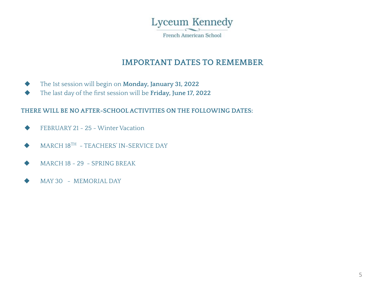

#### **IMPORTANT DATES TO REMEMBER**

- ◆ The 1st session will begin on **Monday, January 31, 2022**
- ◆ The last day of the first session will be **Friday, June 17, 2022**

#### **THERE WILL BE NO AFTER-SCHOOL ACTIVITIES ON THE FOLLOWING DATES:**

- ◆ FEBRUARY 21 25 Winter Vacation
- MARCH 18TH TEACHERS' IN-SERVICE DAY
- MARCH 18 29 SPRING BREAK
- MAY 30 MEMORIAL DAY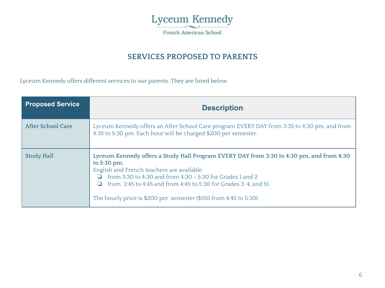

#### **SERVICES PROPOSED TO PARENTS**

Lyceum Kennedy offers different services to our parents. They are listed below.

| <b>Proposed Service</b>  | <b>Description</b>                                                                                                                                                                                                                                                                                                                                                   |
|--------------------------|----------------------------------------------------------------------------------------------------------------------------------------------------------------------------------------------------------------------------------------------------------------------------------------------------------------------------------------------------------------------|
| <b>After School Care</b> | Lyceum Kennedy offers an After School Care program EVERY DAY from 3:35 to 4:30 pm, and from<br>4:35 to 5:30 pm. Each hour will be charged \$200 per semester.                                                                                                                                                                                                        |
| <b>Study Hall</b>        | Lyceum Kennedy offers a Study Hall Program EVERY DAY from 3:30 to 4:30 pm, and from 4:30<br>to 5:30 pm.<br>English and French teachers are available<br>from 3:30 to 4:30 and from 4:30 - 5:30 for Grades 1 and 2<br>□<br>from 3:45 to 4:45 and from 4:45 to 5:30 for Grades 3, 4, and 5).<br>□<br>The hourly price is \$200 per semester (\$150 from 4:45 to 5:30). |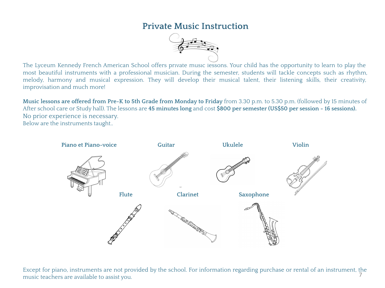#### **Private Music Instruction**



The Lyceum Kennedy French American School offers private music lessons. Your child has the opportunity to learn to play the most beautiful instruments with a professional musician. During the semester, students will tackle concepts such as rhythm, melody, harmony and musical expression. They will develop their musical talent, their listening skills, their creativity, improvisation and much more!

**Music lessons are offered from Pre-K to 5th Grade from Monday to Friday** from 3.30 p.m. to 5.30 p.m. (followed by 15 minutes of After school care or Study hall). The lessons are **45 minutes long** and cost **\$800 per semester (US\$50 per session - 16 sessions).** No prior experience is necessary. Below are the instruments taught..



Except for piano, instruments are not provided by the school. For information regarding purchase or rental of an instrument, the music teachers are available to assist you. 7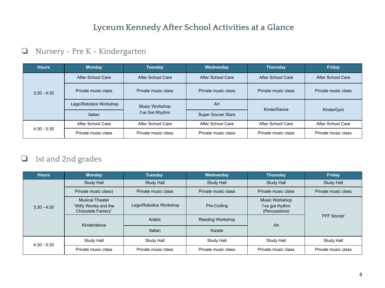## **Lyceum Kennedy After School Activities at a Glance**

#### ❏ Nursery - Pre K - Kindergarten

| <b>Hours</b>  | <b>Monday</b>          | <b>Tuesday</b>      | Wednesday                 | <b>Thursday</b>     | Friday              |
|---------------|------------------------|---------------------|---------------------------|---------------------|---------------------|
|               | After School Care      | After School Care   | After School Care         | After School Care   | After School Care   |
| $3:30 - 4:30$ | Private music class    | Private music class | Private music class       | Private music class | Private music class |
|               | Lego/Robotics Workshop | Music Workshop      | Art                       | KinderDance         |                     |
|               | Italian                | I've Got Rhythm     | <b>Super Soccer Stars</b> |                     | KinderGym           |
|               | After School Care      | After School Care   | After School Care         | After School Care   | After School Care   |
| $4:30 - 5:30$ | Private music class    | Private music class | Private music class       | Private music class | Private music class |

#### ❏ 1st and 2nd grades

| <b>Hours</b>  | <b>Monday</b>                                                        | Tuesday                | Wednesday           | <b>Thursday</b>                                    | Friday              |  |
|---------------|----------------------------------------------------------------------|------------------------|---------------------|----------------------------------------------------|---------------------|--|
|               | Study Hall                                                           | Study Hall             | Study Hall          | <b>Study Hall</b>                                  | Study Hall          |  |
|               | Private music class)                                                 | Private music class    | Private music class | Private music class                                | Private music class |  |
| $3:30 - 4:30$ | <b>Musical Theater</b><br>"Willy Wonka and the<br>Chocolate Factory" | Lego/Robotics Workshop | Pre-Coding          | Music Workshop<br>I've got rhythm<br>(Percussions) |                     |  |
|               | Kinderdance                                                          | Arabic                 | Reading Workshop    | Art                                                | FFF Soccer          |  |
|               |                                                                      | Italian                | Karate              |                                                    |                     |  |
| $4:30 - 5:30$ | Study Hall                                                           | Study Hall             | Study Hall          | Study Hall                                         | Study Hall          |  |
|               | Private music class                                                  | Private music class    | Private music class | Private music class                                | Private music class |  |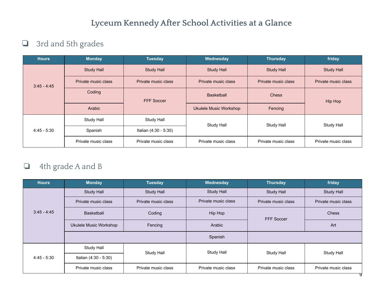### **Lyceum Kennedy After School Activities at a Glance**

### ❏ 3rd and 5th grades

| <b>Hours</b>  | <b>Monday</b>       | <b>Tuesday</b>        | Wednesday              | <b>Thursday</b>     | friday              |
|---------------|---------------------|-----------------------|------------------------|---------------------|---------------------|
|               | <b>Study Hall</b>   | <b>Study Hall</b>     | <b>Study Hall</b>      | <b>Study Hall</b>   | <b>Study Hall</b>   |
| $3:45 - 4:45$ | Private music class | Private music class   | Private music class    | Private music class | Private music class |
|               | Coding              | <b>FFF Soccer</b>     | <b>Basketball</b>      | <b>Chess</b>        | Hip Hop             |
|               | Arabic              |                       | Ukulele Music Workshop | Fencing             |                     |
|               | Study Hall          | Study Hall            | <b>Study Hall</b>      | <b>Study Hall</b>   | Study Hall          |
| $4:45 - 5:30$ | Spanish             | Italian (4:30 - 5:30) |                        |                     |                     |
|               | Private music class | Private music class   | Private music class    | Private music class | Private music class |

### ❏ 4th grade A and B

| <b>Hours</b>  | <b>Monday</b>          | <b>Tuesday</b>      | Wednesday           | <b>Thursday</b>     | friday              |  |
|---------------|------------------------|---------------------|---------------------|---------------------|---------------------|--|
|               | Study Hall             | Study Hall          | Study Hall          | <b>Study Hall</b>   | Study Hall          |  |
|               | Private music class    | Private music class | Private music class | Private music class | Private music class |  |
| $3:45 - 4:45$ | <b>Basketball</b>      | Coding              | Hip Hop             | FFF Soccer          | Chess               |  |
|               | Ukulele Music Workshop | Fencing             | Arabic              |                     | Art                 |  |
|               |                        |                     | Spanish             |                     |                     |  |
|               | Study Hall             | Study Hall          | Study Hall          | Study Hall          | Study Hall          |  |
| $4:45 - 5:30$ | Italian (4:30 - 5:30)  |                     |                     |                     |                     |  |
|               | Private music class    | Private music class | Private music class | Private music class | Private music class |  |
|               |                        |                     |                     |                     |                     |  |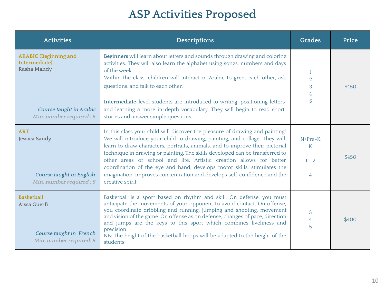# **ASP Activities Proposed**

| <b>Activities</b>                                                                                                   | Descriptions                                                                                                                                                                                                                                                                                                                                                                                                                                                                                                                                                               | Grades                                                | Price |
|---------------------------------------------------------------------------------------------------------------------|----------------------------------------------------------------------------------------------------------------------------------------------------------------------------------------------------------------------------------------------------------------------------------------------------------------------------------------------------------------------------------------------------------------------------------------------------------------------------------------------------------------------------------------------------------------------------|-------------------------------------------------------|-------|
| <b>ARABIC</b> (Beginning and<br>Intermediate)<br>Rasha Mahdy<br>Course taught in Arabic<br>Min. number required : 5 | Beginners will learn about letters and sounds through drawing and coloring<br>activities. They will also learn the alphabet using songs, numbers and days<br>of the week.<br>Within the class, children will interact in Arabic to greet each other, ask<br>questions, and talk to each other.<br>Intermediate-level students are introduced to writing, positioning letters<br>and learning a more in-depth vocabulary. They will begin to read short<br>stories and answer simple questions.                                                                             | $\overline{2}$<br>$\mathbf{3}$<br>$\overline{4}$<br>5 | \$450 |
| <b>ART</b><br>Jessica Sandy<br><b>Course taught in English</b><br>Min. number required : 5                          | In this class your child will discover the pleasure of drawing and painting!<br>We will introduce your child to drawing, painting, and collage. They will<br>learn to draw characters, portraits, animals, and to improve their pictorial<br>technique in drawing or painting. The skills developed can be transferred to<br>other areas of school and life. Artistic creation allows for better<br>coordination of the eye and hand, develops motor skills, stimulates the<br>imagination, improves concentration and develops self-confidence and the<br>creative spirit | N/Pre-K<br>K<br>$1 - 2$<br>4                          | \$450 |
| <b>Basketball</b><br>Aissa Guerfi<br>Course taught in French<br>Min. number required: 5                             | Basketball is a sport based on rhythm and skill. On defense, you must<br>anticipate the movements of your opponent to avoid contact. On offense,<br>you coordinate dribbling and running, jumping and shooting, movement<br>and vision of the game. On offense as on defense, changes of pace, direction<br>and jumps are the keys to this sport which combines liveliness and<br>precision.<br>NB: The height of the basketball hoops will be adapted to the height of the<br>students.                                                                                   | 3<br>$\overline{4}$<br>5                              | \$400 |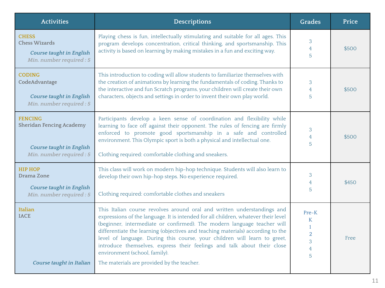| <b>Descriptions</b>                                                                                                                                                                                                                                                                                                                                                                                                                                                                                                                                                | <b>Grades</b>                                                              | Price |
|--------------------------------------------------------------------------------------------------------------------------------------------------------------------------------------------------------------------------------------------------------------------------------------------------------------------------------------------------------------------------------------------------------------------------------------------------------------------------------------------------------------------------------------------------------------------|----------------------------------------------------------------------------|-------|
| Playing chess is fun, intellectually stimulating and suitable for all ages. This<br>program develops concentration, critical thinking, and sportsmanship. This<br>activity is based on learning by making mistakes in a fun and exciting way.                                                                                                                                                                                                                                                                                                                      | 3<br>$\overline{4}$<br>5                                                   | \$500 |
| This introduction to coding will allow students to familiarize themselves with<br>the creation of animations by learning the fundamentals of coding. Thanks to<br>the interactive and fun Scratch programs, your children will create their own<br>characters, objects and settings in order to invent their own play world.                                                                                                                                                                                                                                       | 3<br>$\overline{4}$<br>5                                                   | \$500 |
| Participants develop a keen sense of coordination and flexibility while<br>learning to face off against their opponent. The rules of fencing are firmly<br>enforced to promote good sportsmanship in a safe and controlled<br>environment. This Olympic sport is both a physical and intellectual one.<br>Clothing required: comfortable clothing and sneakers.                                                                                                                                                                                                    | 3<br>4<br>5                                                                | \$500 |
| This class will work on modern hip-hop technique. Students will also learn to<br>develop their own hip-hop steps. No experience required.<br>Clothing required: comfortable clothes and sneakers                                                                                                                                                                                                                                                                                                                                                                   | 3<br>4<br>5                                                                | \$450 |
| This Italian course revolves around oral and written understandings and<br>expressions of the language. It is intended for all children, whatever their level<br>(beginner, intermediate or confirmed). The modern language teacher will<br>differentiate the learning (objectives and teaching materials) according to the<br>level of language. During this course, your children will learn to greet,<br>introduce themselves, express their feelings and talk about their close<br>environment (school, family).<br>The materials are provided by the teacher. | $Pre-K$<br>K<br>$\mathbf{1}$<br>$\overline{a}$<br>3<br>$\overline{4}$<br>5 | Free  |
|                                                                                                                                                                                                                                                                                                                                                                                                                                                                                                                                                                    |                                                                            |       |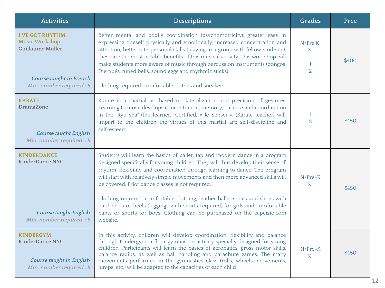| <b>Activities</b>                                                                                                          | <b>Descriptions</b>                                                                                                                                                                                                                                                                                                                                                                                                                                                                                                                                                                                                                         | Grades                                         | Prce  |
|----------------------------------------------------------------------------------------------------------------------------|---------------------------------------------------------------------------------------------------------------------------------------------------------------------------------------------------------------------------------------------------------------------------------------------------------------------------------------------------------------------------------------------------------------------------------------------------------------------------------------------------------------------------------------------------------------------------------------------------------------------------------------------|------------------------------------------------|-------|
| <b>I'VE GOT RHYTHM</b><br><b>Music Workshop</b><br>Guillaume Muller<br>Course taught in French<br>Min. number required : 5 | Better mental and bodily coordination (psychomotricity), greater ease in<br>expressing oneself physically and emotionally, increased concentration and<br>attention, better interpersonal skills (playing in a group with fellow students),<br>these are the most notable benefits of this musical activity. This workshop will<br>make students more aware of music through percussion instruments (bongos,<br>Djembés, tuned bells, sound eggs and rhythmic sticks)<br>Clothing required: comfortable clothes and sneakers.                                                                                                               | N/Pre K<br>K<br>$\mathbf{1}$<br>$\overline{2}$ | \$400 |
| <b>KARATE</b><br><b>DramaZone</b><br><b>Course taught English</b><br>Min. number required : 5                              | Karate is a martial art based on lateralization and precision of gestures.<br>Learning to move develops concentration, memory, balance and coordination<br>in the "Ryu sha" (the learner). Certified, « le Sensei ». (Karate teacher) will<br>impart to the children the virtues of this martial art: self-discipline and<br>self-esteem.                                                                                                                                                                                                                                                                                                   | $\mathbf{1}$<br>$\overline{2}$                 | \$450 |
| <b>KINDERDANCE</b><br><b>KinderDance NYC</b><br><b>Course taught English</b><br>Min. number required : 5                   | Students will learn the basics of ballet, tap and modern dance in a program<br>designed specifically for young children. They will thus develop their sense of<br>rhythm, flexibility and coordination through learning to dance. The program<br>will start with relatively simple movements and then more advanced skills will<br>be covered. Prior dance classes is not required.<br>Clothing required: comfortable clothing, leather ballet shoes and shoes with<br>hard heels or heels (leggings with shorts required) for girls and comfortable<br>pants or shorts for boys. Clothing can be purchased on the capeizio.com<br>website. | N/Pre-K<br>K                                   | \$450 |
| <b>KINDERGYM</b><br><b>KinderDance NYC</b><br><b>Course taught in English</b><br>Min. number required : 5                  | In this activity, children will develop coordination, flexibility and balance<br>through Kindergym, a floor gymnastics activity specially designed for young<br>children. Participants will learn the basics of acrobatics, gross motor skills,<br>balance radius, as well as ball handling and parachute games. The many<br>movements performed in the gymnastics class (rolls, wheels, movements,<br>jumps, etc.) will be adapted to the capacities of each child                                                                                                                                                                         | N/Pre-K<br>K                                   | \$450 |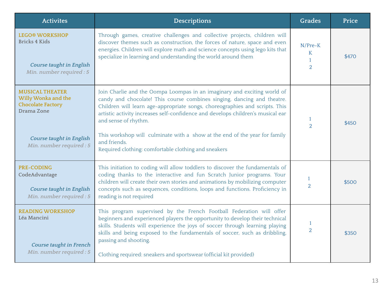| <b>Activites</b>                                                                                                                                       | <b>Descriptions</b>                                                                                                                                                                                                                                                                                                                                                                                                                                                                                 | Grades                                | Price |
|--------------------------------------------------------------------------------------------------------------------------------------------------------|-----------------------------------------------------------------------------------------------------------------------------------------------------------------------------------------------------------------------------------------------------------------------------------------------------------------------------------------------------------------------------------------------------------------------------------------------------------------------------------------------------|---------------------------------------|-------|
| <b>LEGO® WORKSHOP</b><br><b>Bricks 4 Kids</b><br><b>Course taught in English</b><br>Min. number required : 5                                           | Through games, creative challenges and collective projects, children will<br>discover themes such as construction, the forces of nature, space and even<br>energies. Children will explore math and science concepts using lego kits that<br>specialize in learning and understanding the world around them                                                                                                                                                                                         | $N/Pre-K$<br>K<br>1<br>$\overline{2}$ | \$470 |
| <b>MUSICAL THEATER</b><br>Willy Wonka and the<br><b>Chocolate Factory</b><br>Drama Zone<br><b>Course taught in English</b><br>Min. number required : 5 | Join Charlie and the Oompa Loompas in an imaginary and exciting world of<br>candy and chocolate! This course combines singing, dancing and theatre.<br>Children will learn age-appropriate songs, choreographies and scripts. This<br>artistic activity increases self-confidence and develops children's musical ear<br>and sense of rhythm.<br>This workshop will culminate with a show at the end of the year for family<br>and friends.<br>Required clothing: comfortable clothing and sneakers | $\mathbf{1}$<br>$\overline{2}$        | \$450 |
| <b>PRE-CODING</b><br>CodeAdvantage<br><b>Course taught in English</b><br>Min. number required : 5                                                      | This initiation to coding will allow toddlers to discover the fundamentals of<br>coding thanks to the interactive and fun Scratch Junior programs. Your<br>children will create their own stories and animations by mobilizing computer<br>concepts such as sequences, conditions, loops and functions. Proficiency in<br>reading is not required                                                                                                                                                   | 1<br>$\overline{2}$                   | \$500 |
| <b>READING WORKSHOP</b><br>Léa Mancini<br>Course taught in French<br>Min. number required : 5                                                          | This program supervised by the French Football Federation will offer<br>beginners and experienced players the opportunity to develop their technical<br>skills. Students will experience the joys of soccer through learning playing<br>skills and being exposed to the fundamentals of soccer, such as dribbling,<br>passing and shooting.<br>Clothing required: sneakers and sportswear (official kit provided)                                                                                   | 1<br>$\overline{2}$                   | \$350 |